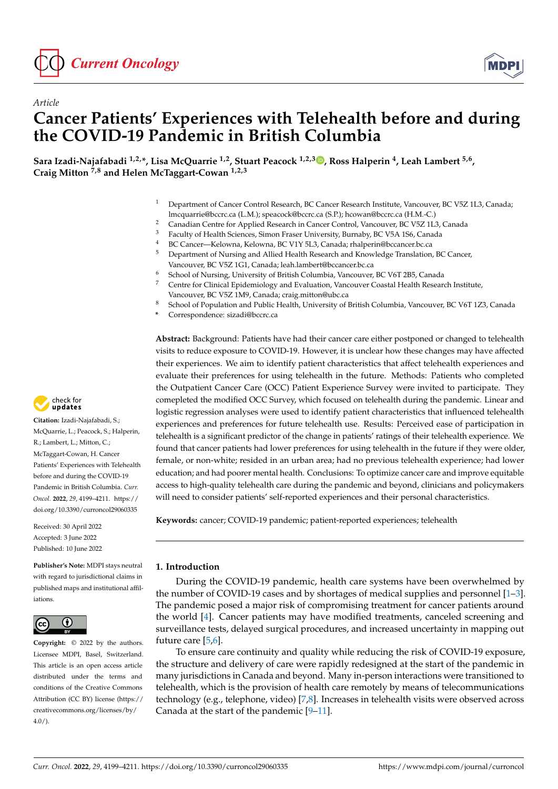



# *Article* **Cancer Patients' Experiences with Telehealth before and during the COVID-19 Pandemic in British Columbia**

**Sara Izadi-Najafabadi 1,2,\*, Lisa McQuarrie 1,2, Stuart Peacock 1,2,3 [,](https://orcid.org/0000-0002-8243-8721) Ross Halperin <sup>4</sup> , Leah Lambert 5,6 , Craig Mitton 7,8 and Helen McTaggart-Cowan 1,2,3**

- <sup>1</sup> Department of Cancer Control Research, BC Cancer Research Institute, Vancouver, BC V5Z 1L3, Canada; lmcquarrie@bccrc.ca (L.M.); speacock@bccrc.ca (S.P.); hcowan@bccrc.ca (H.M.-C.)
- <sup>2</sup> Canadian Centre for Applied Research in Cancer Control, Vancouver, BC V5Z 1L3, Canada
- <sup>3</sup> Faculty of Health Sciences, Simon Fraser University, Burnaby, BC V5A 1S6, Canada
- 4 BC Cancer—Kelowna, Kelowna, BC V1Y 5L3, Canada; rhalperin@bccancer.bc.ca<br>5 Department of Nursing and Allied Hoalth Research and Knowledge Translation
- <sup>5</sup> Department of Nursing and Allied Health Research and Knowledge Translation, BC Cancer, Vancouver, BC V5Z 1G1, Canada; leah.lambert@bccancer.bc.ca
- <sup>6</sup> School of Nursing, University of British Columbia, Vancouver, BC V6T 2B5, Canada
- <sup>7</sup> Centre for Clinical Epidemiology and Evaluation, Vancouver Coastal Health Research Institute, Vancouver, BC V5Z 1M9, Canada; craig.mitton@ubc.ca
- <sup>8</sup> School of Population and Public Health, University of British Columbia, Vancouver, BC V6T 1Z3, Canada
- **\*** Correspondence: sizadi@bccrc.ca

**Abstract:** Background: Patients have had their cancer care either postponed or changed to telehealth visits to reduce exposure to COVID-19. However, it is unclear how these changes may have affected their experiences. We aim to identify patient characteristics that affect telehealth experiences and evaluate their preferences for using telehealth in the future. Methods: Patients who completed the Outpatient Cancer Care (OCC) Patient Experience Survey were invited to participate. They comepleted the modified OCC Survey, which focused on telehealth during the pandemic. Linear and logistic regression analyses were used to identify patient characteristics that influenced telehealth experiences and preferences for future telehealth use. Results: Perceived ease of participation in telehealth is a significant predictor of the change in patients' ratings of their telehealth experience. We found that cancer patients had lower preferences for using telehealth in the future if they were older, female, or non-white; resided in an urban area; had no previous telehealth experience; had lower education; and had poorer mental health. Conclusions: To optimize cancer care and improve equitable access to high-quality telehealth care during the pandemic and beyond, clinicians and policymakers will need to consider patients' self-reported experiences and their personal characteristics.

**Keywords:** cancer; COVID-19 pandemic; patient-reported experiences; telehealth

## **1. Introduction**

During the COVID-19 pandemic, health care systems have been overwhelmed by the number of COVID-19 cases and by shortages of medical supplies and personnel [\[1](#page-10-0)[–3\]](#page-10-1). The pandemic posed a major risk of compromising treatment for cancer patients around the world [\[4\]](#page-10-2). Cancer patients may have modified treatments, canceled screening and surveillance tests, delayed surgical procedures, and increased uncertainty in mapping out future care [\[5,](#page-10-3)[6\]](#page-10-4).

To ensure care continuity and quality while reducing the risk of COVID-19 exposure, the structure and delivery of care were rapidly redesigned at the start of the pandemic in many jurisdictions in Canada and beyond. Many in-person interactions were transitioned to telehealth, which is the provision of health care remotely by means of telecommunications technology (e.g., telephone, video) [\[7,](#page-10-5)[8\]](#page-10-6). Increases in telehealth visits were observed across Canada at the start of the pandemic [\[9](#page-10-7)[–11\]](#page-10-8).



**Citation:** Izadi-Najafabadi, S.; McQuarrie, L.; Peacock, S.; Halperin, R.; Lambert, L.; Mitton, C.; McTaggart-Cowan, H. Cancer Patients' Experiences with Telehealth before and during the COVID-19 Pandemic in British Columbia. *Curr. Oncol.* **2022**, *29*, 4199–4211. [https://](https://doi.org/10.3390/curroncol29060335) [doi.org/10.3390/curroncol29060335](https://doi.org/10.3390/curroncol29060335)

Received: 30 April 2022 Accepted: 3 June 2022 Published: 10 June 2022

**Publisher's Note:** MDPI stays neutral with regard to jurisdictional claims in published maps and institutional affiliations.



**Copyright:** © 2022 by the authors. Licensee MDPI, Basel, Switzerland. This article is an open access article distributed under the terms and conditions of the Creative Commons Attribution (CC BY) license [\(https://](https://creativecommons.org/licenses/by/4.0/) [creativecommons.org/licenses/by/](https://creativecommons.org/licenses/by/4.0/)  $4.0/$ ).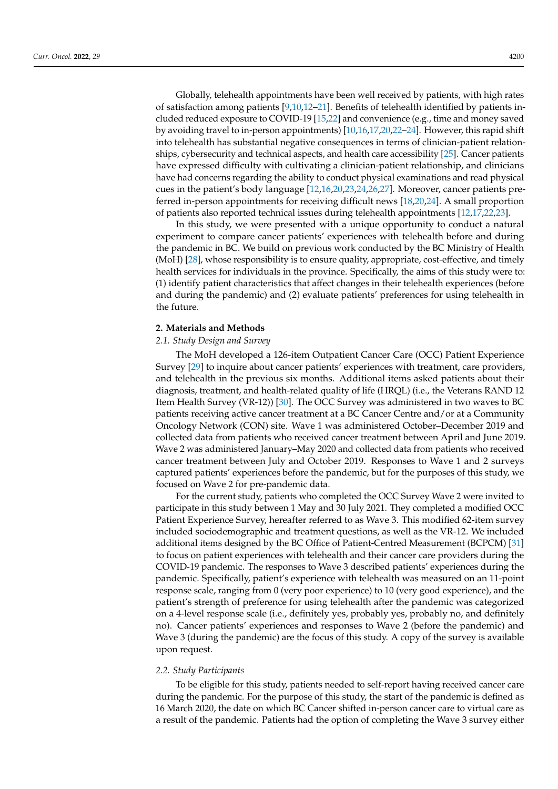Globally, telehealth appointments have been well received by patients, with high rates of satisfaction among patients [\[9,](#page-10-7)[10,](#page-10-9)[12](#page-10-10)[–21\]](#page-10-11). Benefits of telehealth identified by patients included reduced exposure to COVID-19 [\[15](#page-10-12)[,22\]](#page-10-13) and convenience (e.g., time and money saved by avoiding travel to in-person appointments) [\[10](#page-10-9)[,16](#page-10-14)[,17,](#page-10-15)[20,](#page-10-16)[22](#page-10-13)[–24\]](#page-11-0). However, this rapid shift into telehealth has substantial negative consequences in terms of clinician-patient relationships, cybersecurity and technical aspects, and health care accessibility [\[25\]](#page-11-1). Cancer patients have expressed difficulty with cultivating a clinician-patient relationship, and clinicians have had concerns regarding the ability to conduct physical examinations and read physical cues in the patient's body language [\[12,](#page-10-10)[16,](#page-10-14)[20,](#page-10-16)[23,](#page-11-2)[24,](#page-11-0)[26,](#page-11-3)[27\]](#page-11-4). Moreover, cancer patients preferred in-person appointments for receiving difficult news [\[18,](#page-10-17)[20,](#page-10-16)[24\]](#page-11-0). A small proportion of patients also reported technical issues during telehealth appointments [\[12](#page-10-10)[,17,](#page-10-15)[22](#page-10-13)[,23\]](#page-11-2).

In this study, we were presented with a unique opportunity to conduct a natural experiment to compare cancer patients' experiences with telehealth before and during the pandemic in BC. We build on previous work conducted by the BC Ministry of Health (MoH) [\[28\]](#page-11-5), whose responsibility is to ensure quality, appropriate, cost-effective, and timely health services for individuals in the province. Specifically, the aims of this study were to: (1) identify patient characteristics that affect changes in their telehealth experiences (before and during the pandemic) and (2) evaluate patients' preferences for using telehealth in the future.

## **2. Materials and Methods**

## *2.1. Study Design and Survey*

The MoH developed a 126-item Outpatient Cancer Care (OCC) Patient Experience Survey [\[29\]](#page-11-6) to inquire about cancer patients' experiences with treatment, care providers, and telehealth in the previous six months. Additional items asked patients about their diagnosis, treatment, and health-related quality of life (HRQL) (i.e., the Veterans RAND 12 Item Health Survey (VR-12)) [\[30\]](#page-11-7). The OCC Survey was administered in two waves to BC patients receiving active cancer treatment at a BC Cancer Centre and/or at a Community Oncology Network (CON) site. Wave 1 was administered October–December 2019 and collected data from patients who received cancer treatment between April and June 2019. Wave 2 was administered January–May 2020 and collected data from patients who received cancer treatment between July and October 2019. Responses to Wave 1 and 2 surveys captured patients' experiences before the pandemic, but for the purposes of this study, we focused on Wave 2 for pre-pandemic data.

For the current study, patients who completed the OCC Survey Wave 2 were invited to participate in this study between 1 May and 30 July 2021. They completed a modified OCC Patient Experience Survey, hereafter referred to as Wave 3. This modified 62-item survey included sociodemographic and treatment questions, as well as the VR-12. We included additional items designed by the BC Office of Patient-Centred Measurement (BCPCM) [\[31\]](#page-11-8) to focus on patient experiences with telehealth and their cancer care providers during the COVID-19 pandemic. The responses to Wave 3 described patients' experiences during the pandemic. Specifically, patient's experience with telehealth was measured on an 11-point response scale, ranging from 0 (very poor experience) to 10 (very good experience), and the patient's strength of preference for using telehealth after the pandemic was categorized on a 4-level response scale (i.e., definitely yes, probably yes, probably no, and definitely no). Cancer patients' experiences and responses to Wave 2 (before the pandemic) and Wave 3 (during the pandemic) are the focus of this study. A copy of the survey is available upon request.

## *2.2. Study Participants*

To be eligible for this study, patients needed to self-report having received cancer care during the pandemic. For the purpose of this study, the start of the pandemic is defined as 16 March 2020, the date on which BC Cancer shifted in-person cancer care to virtual care as a result of the pandemic. Patients had the option of completing the Wave 3 survey either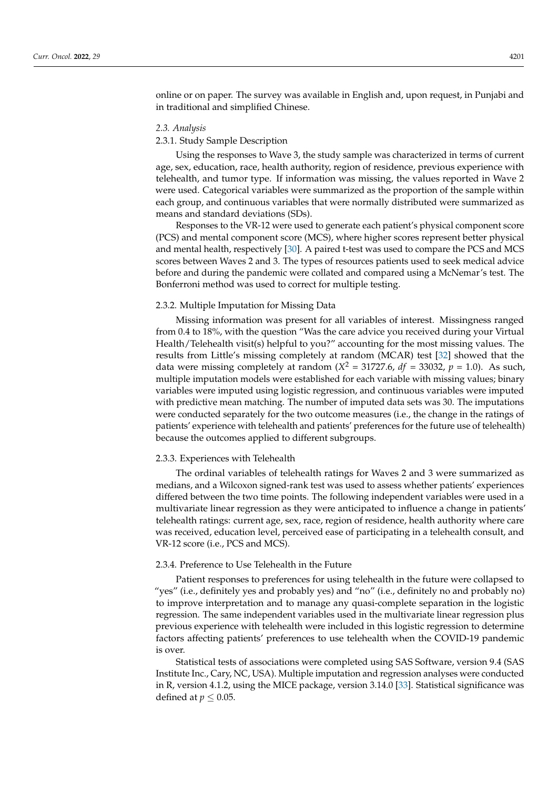online or on paper. The survey was available in English and, upon request, in Punjabi and in traditional and simplified Chinese.

## *2.3. Analysis*

## 2.3.1. Study Sample Description

Using the responses to Wave 3, the study sample was characterized in terms of current age, sex, education, race, health authority, region of residence, previous experience with telehealth, and tumor type. If information was missing, the values reported in Wave 2 were used. Categorical variables were summarized as the proportion of the sample within each group, and continuous variables that were normally distributed were summarized as means and standard deviations (SDs).

Responses to the VR-12 were used to generate each patient's physical component score (PCS) and mental component score (MCS), where higher scores represent better physical and mental health, respectively [\[30\]](#page-11-7). A paired t-test was used to compare the PCS and MCS scores between Waves 2 and 3. The types of resources patients used to seek medical advice before and during the pandemic were collated and compared using a McNemar's test. The Bonferroni method was used to correct for multiple testing.

#### 2.3.2. Multiple Imputation for Missing Data

Missing information was present for all variables of interest. Missingness ranged from 0.4 to 18%, with the question "Was the care advice you received during your Virtual Health/Telehealth visit(s) helpful to you?" accounting for the most missing values. The results from Little's missing completely at random (MCAR) test [\[32\]](#page-11-9) showed that the data were missing completely at random ( $X^2 = 31727.6$ ,  $df = 33032$ ,  $p = 1.0$ ). As such, multiple imputation models were established for each variable with missing values; binary variables were imputed using logistic regression, and continuous variables were imputed with predictive mean matching. The number of imputed data sets was 30. The imputations were conducted separately for the two outcome measures (i.e., the change in the ratings of patients' experience with telehealth and patients' preferences for the future use of telehealth) because the outcomes applied to different subgroups.

## 2.3.3. Experiences with Telehealth

The ordinal variables of telehealth ratings for Waves 2 and 3 were summarized as medians, and a Wilcoxon signed-rank test was used to assess whether patients' experiences differed between the two time points. The following independent variables were used in a multivariate linear regression as they were anticipated to influence a change in patients' telehealth ratings: current age, sex, race, region of residence, health authority where care was received, education level, perceived ease of participating in a telehealth consult, and VR-12 score (i.e., PCS and MCS).

## 2.3.4. Preference to Use Telehealth in the Future

Patient responses to preferences for using telehealth in the future were collapsed to "yes" (i.e., definitely yes and probably yes) and "no" (i.e., definitely no and probably no) to improve interpretation and to manage any quasi-complete separation in the logistic regression. The same independent variables used in the multivariate linear regression plus previous experience with telehealth were included in this logistic regression to determine factors affecting patients' preferences to use telehealth when the COVID-19 pandemic is over.

Statistical tests of associations were completed using SAS Software, version 9.4 (SAS Institute Inc., Cary, NC, USA). Multiple imputation and regression analyses were conducted in R, version 4.1.2, using the MICE package, version 3.14.0 [\[33\]](#page-11-10). Statistical significance was defined at  $p \leq 0.05$ .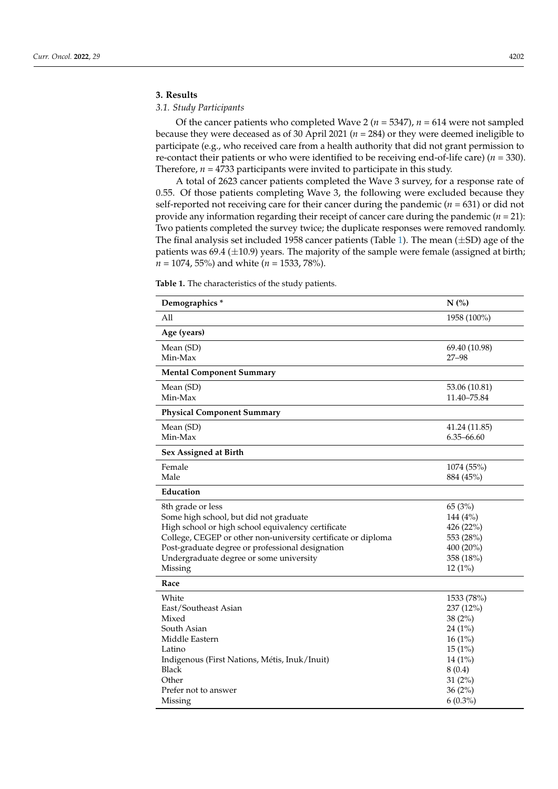## **3. Results**

## *3.1. Study Participants*

Of the cancer patients who completed Wave 2 ( $n = 5347$ ),  $n = 614$  were not sampled because they were deceased as of 30 April 2021 (*n* = 284) or they were deemed ineligible to participate (e.g., who received care from a health authority that did not grant permission to re-contact their patients or who were identified to be receiving end-of-life care) (*n* = 330). Therefore, *n* = 4733 participants were invited to participate in this study.

A total of 2623 cancer patients completed the Wave 3 survey, for a response rate of 0.55. Of those patients completing Wave 3, the following were excluded because they self-reported not receiving care for their cancer during the pandemic ( $n = 631$ ) or did not provide any information regarding their receipt of cancer care during the pandemic (*n* = 21): Two patients completed the survey twice; the duplicate responses were removed randomly. The final analysis set included 1958 cancer patients (Table [1\)](#page-3-0). The mean  $(\pm SD)$  age of the patients was 69.4 ( $\pm$ 10.9) years. The majority of the sample were female (assigned at birth; *n* = 1074, 55%) and white (*n* = 1533, 78%).

<span id="page-3-0"></span>**Table 1.** The characteristics of the study patients.

| Demographics*                                                                                                                                                                                                                                                                                | N(%)                                                                                               |
|----------------------------------------------------------------------------------------------------------------------------------------------------------------------------------------------------------------------------------------------------------------------------------------------|----------------------------------------------------------------------------------------------------|
| All                                                                                                                                                                                                                                                                                          | 1958 (100%)                                                                                        |
| Age (years)                                                                                                                                                                                                                                                                                  |                                                                                                    |
| Mean (SD)<br>Min-Max                                                                                                                                                                                                                                                                         | 69.40 (10.98)<br>$27 - 98$                                                                         |
| <b>Mental Component Summary</b>                                                                                                                                                                                                                                                              |                                                                                                    |
| Mean (SD)<br>Min-Max                                                                                                                                                                                                                                                                         | 53.06 (10.81)<br>11.40-75.84                                                                       |
| <b>Physical Component Summary</b>                                                                                                                                                                                                                                                            |                                                                                                    |
| Mean (SD)<br>Min-Max                                                                                                                                                                                                                                                                         | 41.24 (11.85)<br>6.35-66.60                                                                        |
| Sex Assigned at Birth                                                                                                                                                                                                                                                                        |                                                                                                    |
| Female<br>Male                                                                                                                                                                                                                                                                               | 1074 (55%)<br>884 (45%)                                                                            |
| Education                                                                                                                                                                                                                                                                                    |                                                                                                    |
| 8th grade or less<br>Some high school, but did not graduate<br>High school or high school equivalency certificate<br>College, CEGEP or other non-university certificate or diploma<br>Post-graduate degree or professional designation<br>Undergraduate degree or some university<br>Missing | 65 (3%)<br>144 (4%)<br>426 (22%)<br>553 (28%)<br>400 (20%)<br>358 (18%)<br>$12(1\%)$               |
| Race                                                                                                                                                                                                                                                                                         |                                                                                                    |
| White<br>East/Southeast Asian<br>Mixed<br>South Asian<br>Middle Eastern<br>Latino<br>Indigenous (First Nations, Métis, Inuk/Inuit)<br><b>Black</b><br>Other                                                                                                                                  | 1533 (78%)<br>237 (12%)<br>38(2%)<br>$24(1\%)$<br>16(1%)<br>15(1%)<br>14 (1%)<br>8(0.4)<br>31 (2%) |
| Prefer not to answer<br>Missing                                                                                                                                                                                                                                                              | 36(2%)<br>$6(0.3\%)$                                                                               |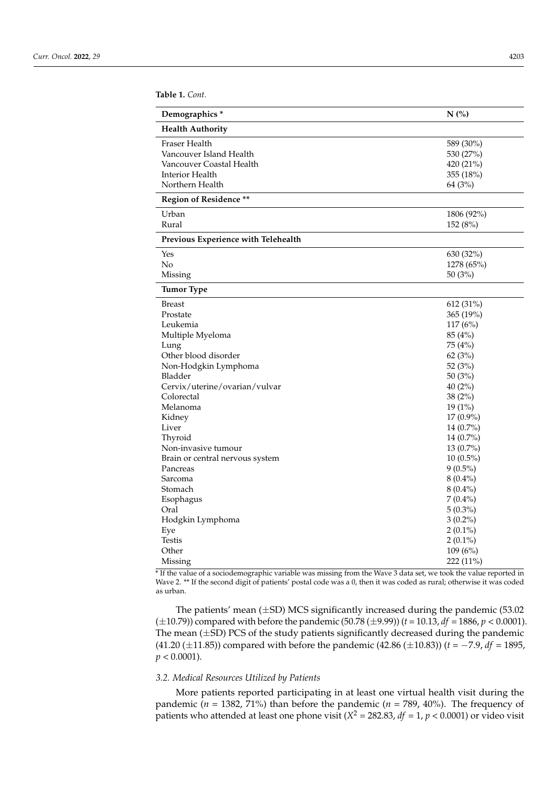**Table 1.** *Cont.*

| Demographics *                           | N(%)                   |
|------------------------------------------|------------------------|
| <b>Health Authority</b>                  |                        |
| Fraser Health<br>Vancouver Island Health | 589 (30%)<br>530 (27%) |
| Vancouver Coastal Health                 | 420 (21%)              |
| Interior Health                          | 355 (18%)              |
| Northern Health                          | 64 (3%)                |
| Region of Residence **                   |                        |
| Urban                                    | 1806 (92%)             |
| Rural                                    | 152 (8%)               |
| Previous Experience with Telehealth      |                        |
| Yes                                      | 630 (32%)              |
| No                                       | 1278 (65%)             |
| Missing                                  | 50 $(3%)$              |
| Tumor Type                               |                        |
| <b>Breast</b>                            | 612 (31%)              |
| Prostate                                 | 365 (19%)              |
| Leukemia                                 | 117(6%)                |
| Multiple Myeloma                         | 85 (4%)                |
| Lung                                     | 75 (4%)                |
| Other blood disorder                     | 62(3%)                 |
| Non-Hodgkin Lymphoma                     | 52 (3%)                |
| Bladder                                  | 50 (3%)                |
| Cervix/uterine/ovarian/vulvar            | 40 $(2%)$              |
| Colorectal                               | 38(2%)                 |
| Melanoma                                 | 19 (1%)                |
| Kidney                                   | 17 (0.9%)              |
| Liver                                    | $14(0.7\%)$            |
| Thyroid                                  | 14 (0.7%)              |
| Non-invasive tumour                      | 13 (0.7%)              |
| Brain or central nervous system          | $10(0.5\%)$            |
| Pancreas                                 | $9(0.5\%)$             |
| Sarcoma                                  | $8(0.4\%)$             |
| Stomach                                  | $8(0.4\%)$             |
| Esophagus                                | $7(0.4\%)$             |
| Oral                                     | $5(0.3\%)$             |
| Hodgkin Lymphoma                         | $3(0.2\%)$             |
| Eye                                      | $2(0.1\%)$             |
| <b>Testis</b>                            | $2(0.1\%)$             |
| Other                                    | 109 (6%)               |
| Missing                                  | $222(11\%)$            |

\* If the value of a sociodemographic variable was missing from the Wave 3 data set, we took the value reported in Wave 2. \*\* If the second digit of patients' postal code was a 0, then it was coded as rural; otherwise it was coded as urban.

The patients' mean  $(\pm SD)$  MCS significantly increased during the pandemic (53.02) ( $\pm$ 10.79)) compared with before the pandemic (50.78 ( $\pm$ 9.99)) ( $t$  = 10.13,  $df$  = 1886,  $p$  < 0.0001). The mean  $(\pm SD)$  PCS of the study patients significantly decreased during the pandemic (41.20 (±11.85)) compared with before the pandemic (42.86 (±10.83)) (*t* = −7.9, *df* = 1895,  $p < 0.0001$ ).

## *3.2. Medical Resources Utilized by Patients*

More patients reported participating in at least one virtual health visit during the pandemic ( $n = 1382, 71\%$ ) than before the pandemic ( $n = 789, 40\%$ ). The frequency of patients who attended at least one phone visit ( $X^2 = 282.83$ ,  $df = 1$ ,  $p < 0.0001$ ) or video visit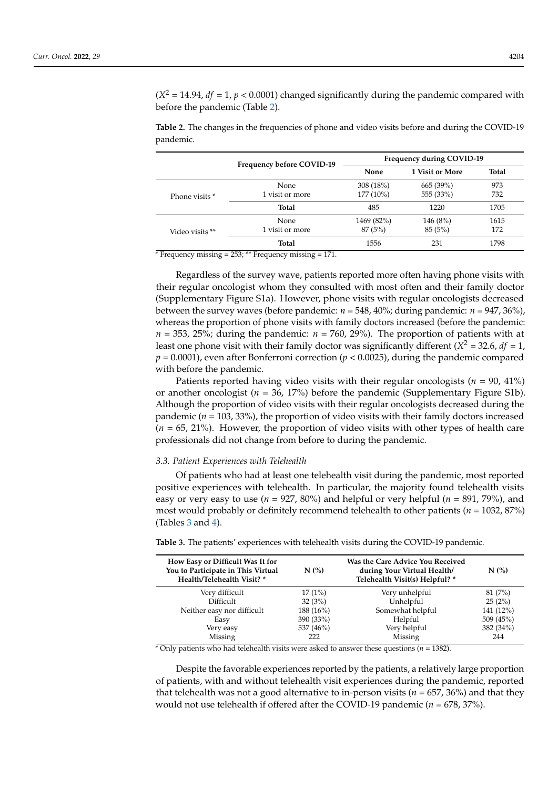$(X^2 = 14.94$ , *df* = 1, *p* < 0.0001) changed significantly during the pandemic compared with before the pandemic (Table [2\)](#page-5-0).

<span id="page-5-0"></span>**Table 2.** The changes in the frequencies of phone and video visits before and during the COVID-19 pandemic.

|                 | Frequency before COVID-19 | <b>Frequency during COVID-19</b> |                 |       |
|-----------------|---------------------------|----------------------------------|-----------------|-------|
|                 |                           | None                             | 1 Visit or More | Total |
| Phone visits *  | <b>None</b>               | 308(18%)                         | 665(39%)        | 973   |
|                 | 1 visit or more           | $177(10\%)$                      | 555 (33%)       | 732   |
|                 | Total                     | 485                              | 1220            | 1705  |
|                 | None                      | 1469 (82%)                       | 146 (8%)        | 1615  |
| Video visits ** | 1 visit or more           | 87(5%)                           | 85(5%)          | 172   |
|                 | Total                     | 1556                             | 231             | 1798  |

 $*$  Frequency missing = 253; \*\* Frequency missing = 171.

Regardless of the survey wave, patients reported more often having phone visits with their regular oncologist whom they consulted with most often and their family doctor (Supplementary Figure S1a). However, phone visits with regular oncologists decreased between the survey waves (before pandemic: *n* = 548, 40%; during pandemic: *n* = 947, 36%), whereas the proportion of phone visits with family doctors increased (before the pandemic:  $n = 353$ , 25%; during the pandemic:  $n = 760$ , 29%). The proportion of patients with at least one phone visit with their family doctor was significantly different ( $X^2$  = 32.6,  $df$  = 1, *p* = 0.0001), even after Bonferroni correction (*p* < 0.0025), during the pandemic compared with before the pandemic.

Patients reported having video visits with their regular oncologists ( $n = 90, 41\%$ ) or another oncologist (*n* = 36, 17%) before the pandemic (Supplementary Figure S1b). Although the proportion of video visits with their regular oncologists decreased during the pandemic ( $n = 103, 33\%)$ , the proportion of video visits with their family doctors increased  $(n = 65, 21\%)$ . However, the proportion of video visits with other types of health care professionals did not change from before to during the pandemic.

## *3.3. Patient Experiences with Telehealth*

Of patients who had at least one telehealth visit during the pandemic, most reported positive experiences with telehealth. In particular, the majority found telehealth visits easy or very easy to use ( $n = 927, 80\%$ ) and helpful or very helpful ( $n = 891, 79\%$ ), and most would probably or definitely recommend telehealth to other patients (*n* = 1032, 87%) (Tables  $3$  and  $4$ ).

| How Easy or Difficult Was It for<br>You to Participate in This Virtual<br>Health/Telehealth Visit? * | N(%)      | Was the Care Advice You Received<br>during Your Virtual Health/<br>Telehealth Visit(s) Helpful? * | N(%       |
|------------------------------------------------------------------------------------------------------|-----------|---------------------------------------------------------------------------------------------------|-----------|
| Very difficult                                                                                       | 17(1%)    | Very unhelpful                                                                                    | 81(7%)    |
| Difficult                                                                                            | 32(3%)    | Unhelpful                                                                                         | 25(2%)    |
| Neither easy nor difficult                                                                           | 188 (16%) | Somewhat helpful                                                                                  | 141 (12%) |
| Easy                                                                                                 | 390 (33%) | Helpful                                                                                           | 509 (45%) |
| Very easy                                                                                            | 537 (46%) | Very helpful                                                                                      | 382 (34%) |
| Missing                                                                                              | 222       | Missing                                                                                           | 244       |

<span id="page-5-1"></span>**Table 3.** The patients' experiences with telehealth visits during the COVID-19 pandemic.

 $*$  Only patients who had telehealth visits were asked to answer these questions ( $n = 1382$ ).

Despite the favorable experiences reported by the patients, a relatively large proportion of patients, with and without telehealth visit experiences during the pandemic, reported that telehealth was not a good alternative to in-person visits ( $n = 657,36\%$ ) and that they would not use telehealth if offered after the COVID-19 pandemic (*n* = 678, 37%).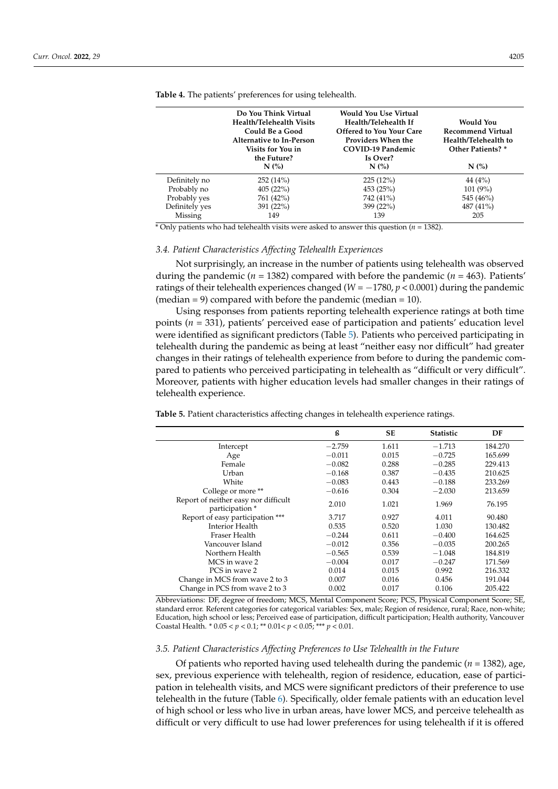|                | Do You Think Virtual<br><b>Health/Telehealth Visits</b><br>Could Be a Good<br>Alternative to In-Person<br>Visits for You in<br>the Future? | <b>Would You Use Virtual</b><br>Health/Telehealth If<br>Offered to You Your Care<br>Providers When the<br>COVID-19 Pandemic<br>Is Over? | Would You<br><b>Recommend Virtual</b><br>Health/Telehealth to<br>Other Patients? * |
|----------------|--------------------------------------------------------------------------------------------------------------------------------------------|-----------------------------------------------------------------------------------------------------------------------------------------|------------------------------------------------------------------------------------|
|                | N(%)                                                                                                                                       | N(%                                                                                                                                     | N(%)                                                                               |
| Definitely no  | 252(14%)                                                                                                                                   | 225(12%)                                                                                                                                | 44(4%)                                                                             |
| Probably no    | 405(22%)                                                                                                                                   | 453 (25%)                                                                                                                               | 101(9%)                                                                            |
| Probably yes   | 761 (42%)                                                                                                                                  | 742 (41%)                                                                                                                               | 545 (46%)                                                                          |
| Definitely yes | 391 (22%)                                                                                                                                  | 399 (22%)                                                                                                                               | 487 (41%)                                                                          |
| Missing        | 149                                                                                                                                        | 139                                                                                                                                     | 205                                                                                |

<span id="page-6-0"></span>**Table 4.** The patients' preferences for using telehealth.

\* Only patients who had telehealth visits were asked to answer this question (*n* = 1382).

## *3.4. Patient Characteristics Affecting Telehealth Experiences*

Not surprisingly, an increase in the number of patients using telehealth was observed during the pandemic ( $n = 1382$ ) compared with before the pandemic ( $n = 463$ ). Patients' ratings of their telehealth experiences changed (*W* = −1780, *p* < 0.0001) during the pandemic (median  $= 9$ ) compared with before the pandemic (median  $= 10$ ).

Using responses from patients reporting telehealth experience ratings at both time points (*n* = 331), patients' perceived ease of participation and patients' education level were identified as significant predictors (Table [5\)](#page-6-1). Patients who perceived participating in telehealth during the pandemic as being at least "neither easy nor difficult" had greater changes in their ratings of telehealth experience from before to during the pandemic compared to patients who perceived participating in telehealth as "difficult or very difficult". Moreover, patients with higher education levels had smaller changes in their ratings of telehealth experience.

<span id="page-6-1"></span>**Table 5.** Patient characteristics affecting changes in telehealth experience ratings.

|                                                         | ß        | <b>SE</b> | <b>Statistic</b> | DF      |
|---------------------------------------------------------|----------|-----------|------------------|---------|
| Intercept                                               | $-2.759$ | 1.611     | $-1.713$         | 184.270 |
| Age                                                     | $-0.011$ | 0.015     | $-0.725$         | 165.699 |
| Female                                                  | $-0.082$ | 0.288     | $-0.285$         | 229.413 |
| Urban                                                   | $-0.168$ | 0.387     | $-0.435$         | 210.625 |
| White                                                   | $-0.083$ | 0.443     | $-0.188$         | 233.269 |
| College or more **                                      | $-0.616$ | 0.304     | $-2.030$         | 213.659 |
| Report of neither easy nor difficult<br>participation * | 2.010    | 1.021     | 1.969            | 76.195  |
| Report of easy participation ***                        | 3.717    | 0.927     | 4.011            | 90.480  |
| Interior Health                                         | 0.535    | 0.520     | 1.030            | 130.482 |
| Fraser Health                                           | $-0.244$ | 0.611     | $-0.400$         | 164.625 |
| Vancouver Island                                        | $-0.012$ | 0.356     | $-0.035$         | 200.265 |
| Northern Health                                         | $-0.565$ | 0.539     | $-1.048$         | 184.819 |
| MCS in wave 2                                           | $-0.004$ | 0.017     | $-0.247$         | 171.569 |
| PCS in wave 2                                           | 0.014    | 0.015     | 0.992            | 216.332 |
| Change in MCS from wave 2 to 3                          | 0.007    | 0.016     | 0.456            | 191.044 |
| Change in PCS from wave 2 to 3                          | 0.002    | 0.017     | 0.106            | 205.422 |

Abbreviations: DF, degree of freedom; MCS, Mental Component Score; PCS, Physical Component Score; SE, standard error. Referent categories for categorical variables: Sex, male; Region of residence, rural; Race, non-white; Education, high school or less; Perceived ease of participation, difficult participation; Health authority, Vancouver Coastal Health. \* 0.05 < *p* < 0.1; \*\* 0.01< *p* < 0.05; \*\*\* *p* < 0.01.

## *3.5. Patient Characteristics Affecting Preferences to Use Telehealth in the Future*

Of patients who reported having used telehealth during the pandemic (*n* = 1382), age, sex, previous experience with telehealth, region of residence, education, ease of participation in telehealth visits, and MCS were significant predictors of their preference to use telehealth in the future (Table [6\)](#page-7-0). Specifically, older female patients with an education level of high school or less who live in urban areas, have lower MCS, and perceive telehealth as difficult or very difficult to use had lower preferences for using telehealth if it is offered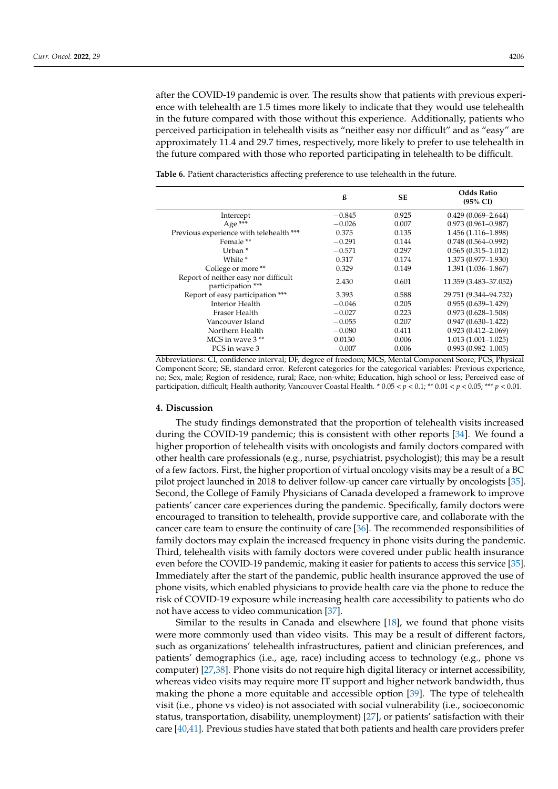after the COVID-19 pandemic is over. The results show that patients with previous experience with telehealth are 1.5 times more likely to indicate that they would use telehealth in the future compared with those without this experience. Additionally, patients who perceived participation in telehealth visits as "neither easy nor difficult" and as "easy" are approximately 11.4 and 29.7 times, respectively, more likely to prefer to use telehealth in the future compared with those who reported participating in telehealth to be difficult.

|                                                           | ß        | <b>SE</b> | <b>Odds Ratio</b><br>$(95\% \text{ CI})$ |
|-----------------------------------------------------------|----------|-----------|------------------------------------------|
| Intercept                                                 | $-0.845$ | 0.925     | $0.429(0.069 - 2.644)$                   |
| Age ***                                                   | $-0.026$ | 0.007     | $0.973(0.961 - 0.987)$                   |
| Previous experience with telehealth ***                   | 0.375    | 0.135     | 1.456 (1.116-1.898)                      |
| Female <sup>**</sup>                                      | $-0.291$ | 0.144     | $0.748(0.564 - 0.992)$                   |
| Urban <sup>*</sup>                                        | $-0.571$ | 0.297     | $0.565(0.315 - 1.012)$                   |
| White *                                                   | 0.317    | 0.174     | $1.373(0.977 - 1.930)$                   |
| College or more **                                        | 0.329    | 0.149     | 1.391 (1.036-1.867)                      |
| Report of neither easy nor difficult<br>participation *** | 2.430    | 0.601     | 11.359 (3.483-37.052)                    |
| Report of easy participation ***                          | 3.393    | 0.588     | 29.751 (9.344–94.732)                    |
| Interior Health                                           | $-0.046$ | 0.205     | $0.955(0.639 - 1.429)$                   |
| Fraser Health                                             | $-0.027$ | 0.223     | $0.973(0.628 - 1.508)$                   |
| Vancouver Island                                          | $-0.055$ | 0.207     | $0.947(0.630-1.422)$                     |
| Northern Health                                           | $-0.080$ | 0.411     | $0.923(0.412 - 2.069)$                   |
| MCS in wave $3**$                                         | 0.0130   | 0.006     | $1.013(1.001 - 1.025)$                   |
| PCS in wave 3                                             | $-0.007$ | 0.006     | $0.993(0.982 - 1.005)$                   |

<span id="page-7-0"></span>**Table 6.** Patient characteristics affecting preference to use telehealth in the future.

Abbreviations: CI, confidence interval; DF, degree of freedom; MCS, Mental Component Score; PCS, Physical Component Score; SE, standard error. Referent categories for the categorical variables: Previous experience, no; Sex, male; Region of residence, rural; Race, non-white; Education, high school or less; Perceived ease of participation, difficult; Health authority, Vancouver Coastal Health. \* 0.05 < *p* < 0.1; \*\* 0.01 < *p* < 0.05; \*\*\* *p* < 0.01.

## **4. Discussion**

The study findings demonstrated that the proportion of telehealth visits increased during the COVID-19 pandemic; this is consistent with other reports [\[34\]](#page-11-11). We found a higher proportion of telehealth visits with oncologists and family doctors compared with other health care professionals (e.g., nurse, psychiatrist, psychologist); this may be a result of a few factors. First, the higher proportion of virtual oncology visits may be a result of a BC pilot project launched in 2018 to deliver follow-up cancer care virtually by oncologists [\[35\]](#page-11-12). Second, the College of Family Physicians of Canada developed a framework to improve patients' cancer care experiences during the pandemic. Specifically, family doctors were encouraged to transition to telehealth, provide supportive care, and collaborate with the cancer care team to ensure the continuity of care [\[36\]](#page-11-13). The recommended responsibilities of family doctors may explain the increased frequency in phone visits during the pandemic. Third, telehealth visits with family doctors were covered under public health insurance even before the COVID-19 pandemic, making it easier for patients to access this service [\[35\]](#page-11-12). Immediately after the start of the pandemic, public health insurance approved the use of phone visits, which enabled physicians to provide health care via the phone to reduce the risk of COVID-19 exposure while increasing health care accessibility to patients who do not have access to video communication [\[37\]](#page-11-14).

Similar to the results in Canada and elsewhere [\[18\]](#page-10-17), we found that phone visits were more commonly used than video visits. This may be a result of different factors, such as organizations' telehealth infrastructures, patient and clinician preferences, and patients' demographics (i.e., age, race) including access to technology (e.g., phone vs computer) [\[27](#page-11-4)[,38\]](#page-11-15). Phone visits do not require high digital literacy or internet accessibility, whereas video visits may require more IT support and higher network bandwidth, thus making the phone a more equitable and accessible option [\[39\]](#page-11-16). The type of telehealth visit (i.e., phone vs video) is not associated with social vulnerability (i.e., socioeconomic status, transportation, disability, unemployment) [\[27\]](#page-11-4), or patients' satisfaction with their care [\[40](#page-11-17)[,41\]](#page-11-18). Previous studies have stated that both patients and health care providers prefer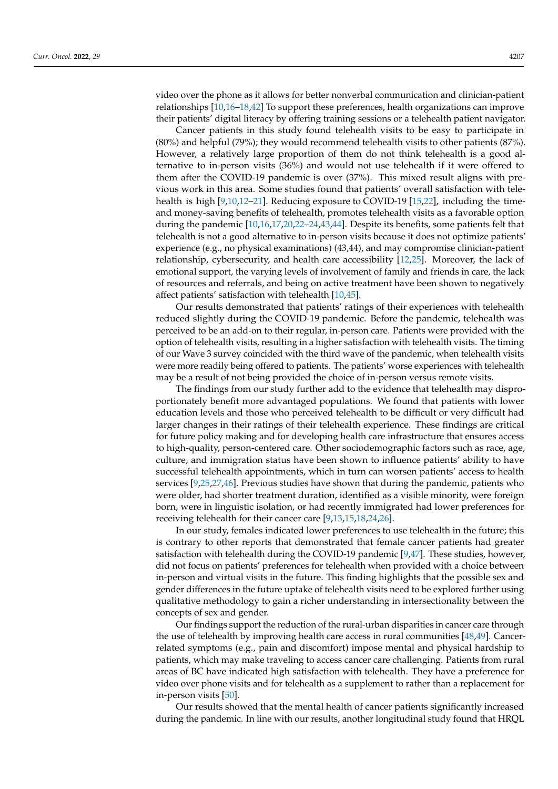video over the phone as it allows for better nonverbal communication and clinician-patient relationships [\[10](#page-10-9)[,16–](#page-10-14)[18,](#page-10-17)[42\]](#page-11-19) To support these preferences, health organizations can improve their patients' digital literacy by offering training sessions or a telehealth patient navigator.

Cancer patients in this study found telehealth visits to be easy to participate in (80%) and helpful (79%); they would recommend telehealth visits to other patients (87%). However, a relatively large proportion of them do not think telehealth is a good alternative to in-person visits (36%) and would not use telehealth if it were offered to them after the COVID-19 pandemic is over (37%). This mixed result aligns with previous work in this area. Some studies found that patients' overall satisfaction with telehealth is high [\[9](#page-10-7)[,10](#page-10-9)[,12](#page-10-10)[–21\]](#page-10-11). Reducing exposure to COVID-19 [\[15](#page-10-12)[,22\]](#page-10-13), including the timeand money-saving benefits of telehealth, promotes telehealth visits as a favorable option during the pandemic [\[10](#page-10-9)[,16](#page-10-14)[,17](#page-10-15)[,20](#page-10-16)[,22–](#page-10-13)[24,](#page-11-0)[43,](#page-11-20)[44\]](#page-11-21). Despite its benefits, some patients felt that telehealth is not a good alternative to in-person visits because it does not optimize patients' experience (e.g., no physical examinations) (43,44), and may compromise clinician-patient relationship, cybersecurity, and health care accessibility [\[12](#page-10-10)[,25\]](#page-11-1). Moreover, the lack of emotional support, the varying levels of involvement of family and friends in care, the lack of resources and referrals, and being on active treatment have been shown to negatively affect patients' satisfaction with telehealth [\[10,](#page-10-9)[45\]](#page-11-22).

Our results demonstrated that patients' ratings of their experiences with telehealth reduced slightly during the COVID-19 pandemic. Before the pandemic, telehealth was perceived to be an add-on to their regular, in-person care. Patients were provided with the option of telehealth visits, resulting in a higher satisfaction with telehealth visits. The timing of our Wave 3 survey coincided with the third wave of the pandemic, when telehealth visits were more readily being offered to patients. The patients' worse experiences with telehealth may be a result of not being provided the choice of in-person versus remote visits.

The findings from our study further add to the evidence that telehealth may disproportionately benefit more advantaged populations. We found that patients with lower education levels and those who perceived telehealth to be difficult or very difficult had larger changes in their ratings of their telehealth experience. These findings are critical for future policy making and for developing health care infrastructure that ensures access to high-quality, person-centered care. Other sociodemographic factors such as race, age, culture, and immigration status have been shown to influence patients' ability to have successful telehealth appointments, which in turn can worsen patients' access to health services [\[9,](#page-10-7)[25](#page-11-1)[,27](#page-11-4)[,46\]](#page-11-23). Previous studies have shown that during the pandemic, patients who were older, had shorter treatment duration, identified as a visible minority, were foreign born, were in linguistic isolation, or had recently immigrated had lower preferences for receiving telehealth for their cancer care [\[9](#page-10-7)[,13](#page-10-18)[,15](#page-10-12)[,18](#page-10-17)[,24,](#page-11-0)[26\]](#page-11-3).

In our study, females indicated lower preferences to use telehealth in the future; this is contrary to other reports that demonstrated that female cancer patients had greater satisfaction with telehealth during the COVID-19 pandemic  $[9,47]$  $[9,47]$ . These studies, however, did not focus on patients' preferences for telehealth when provided with a choice between in-person and virtual visits in the future. This finding highlights that the possible sex and gender differences in the future uptake of telehealth visits need to be explored further using qualitative methodology to gain a richer understanding in intersectionality between the concepts of sex and gender.

Our findings support the reduction of the rural-urban disparities in cancer care through the use of telehealth by improving health care access in rural communities [\[48](#page-11-25)[,49\]](#page-12-0). Cancerrelated symptoms (e.g., pain and discomfort) impose mental and physical hardship to patients, which may make traveling to access cancer care challenging. Patients from rural areas of BC have indicated high satisfaction with telehealth. They have a preference for video over phone visits and for telehealth as a supplement to rather than a replacement for in-person visits [\[50\]](#page-12-1).

Our results showed that the mental health of cancer patients significantly increased during the pandemic. In line with our results, another longitudinal study found that HRQL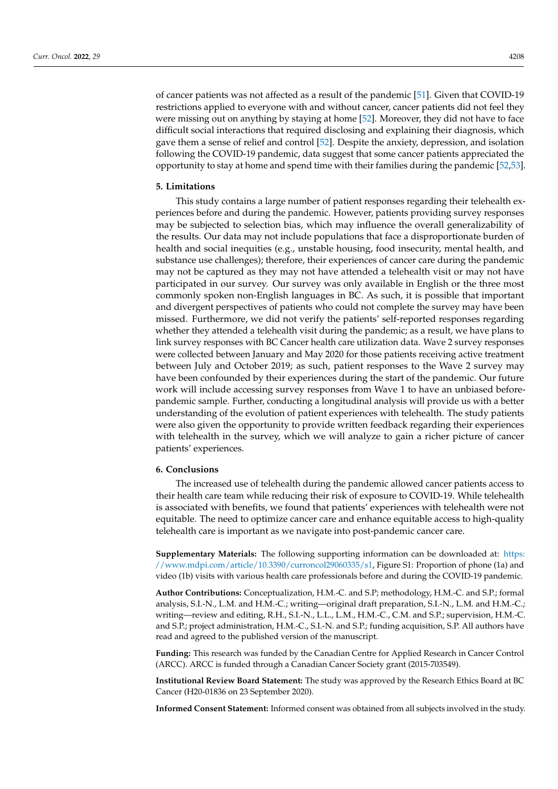of cancer patients was not affected as a result of the pandemic [\[51\]](#page-12-2). Given that COVID-19 restrictions applied to everyone with and without cancer, cancer patients did not feel they were missing out on anything by staying at home [\[52\]](#page-12-3). Moreover, they did not have to face difficult social interactions that required disclosing and explaining their diagnosis, which gave them a sense of relief and control [\[52\]](#page-12-3). Despite the anxiety, depression, and isolation following the COVID-19 pandemic, data suggest that some cancer patients appreciated the opportunity to stay at home and spend time with their families during the pandemic [\[52](#page-12-3)[,53\]](#page-12-4).

## **5. Limitations**

This study contains a large number of patient responses regarding their telehealth experiences before and during the pandemic. However, patients providing survey responses may be subjected to selection bias, which may influence the overall generalizability of the results. Our data may not include populations that face a disproportionate burden of health and social inequities (e.g., unstable housing, food insecurity, mental health, and substance use challenges); therefore, their experiences of cancer care during the pandemic may not be captured as they may not have attended a telehealth visit or may not have participated in our survey. Our survey was only available in English or the three most commonly spoken non-English languages in BC. As such, it is possible that important and divergent perspectives of patients who could not complete the survey may have been missed. Furthermore, we did not verify the patients' self-reported responses regarding whether they attended a telehealth visit during the pandemic; as a result, we have plans to link survey responses with BC Cancer health care utilization data. Wave 2 survey responses were collected between January and May 2020 for those patients receiving active treatment between July and October 2019; as such, patient responses to the Wave 2 survey may have been confounded by their experiences during the start of the pandemic. Our future work will include accessing survey responses from Wave 1 to have an unbiased beforepandemic sample. Further, conducting a longitudinal analysis will provide us with a better understanding of the evolution of patient experiences with telehealth. The study patients were also given the opportunity to provide written feedback regarding their experiences with telehealth in the survey, which we will analyze to gain a richer picture of cancer patients' experiences.

## **6. Conclusions**

The increased use of telehealth during the pandemic allowed cancer patients access to their health care team while reducing their risk of exposure to COVID-19. While telehealth is associated with benefits, we found that patients' experiences with telehealth were not equitable. The need to optimize cancer care and enhance equitable access to high-quality telehealth care is important as we navigate into post-pandemic cancer care.

**Supplementary Materials:** The following supporting information can be downloaded at: [https:](https://www.mdpi.com/article/10.3390/curroncol29060335/s1) [//www.mdpi.com/article/10.3390/curroncol29060335/s1,](https://www.mdpi.com/article/10.3390/curroncol29060335/s1) Figure S1: Proportion of phone (1a) and video (1b) visits with various health care professionals before and during the COVID-19 pandemic.

**Author Contributions:** Conceptualization, H.M.-C. and S.P; methodology, H.M.-C. and S.P.; formal analysis, S.I.-N., L.M. and H.M.-C.; writing—original draft preparation, S.I.-N., L.M. and H.M.-C.; writing—review and editing, R.H., S.I.-N., L.L., L.M., H.M.-C., C.M. and S.P.; supervision, H.M.-C. and S.P.; project administration, H.M.-C., S.I.-N. and S.P.; funding acquisition, S.P. All authors have read and agreed to the published version of the manuscript.

**Funding:** This research was funded by the Canadian Centre for Applied Research in Cancer Control (ARCC). ARCC is funded through a Canadian Cancer Society grant (2015-703549).

**Institutional Review Board Statement:** The study was approved by the Research Ethics Board at BC Cancer (H20-01836 on 23 September 2020).

**Informed Consent Statement:** Informed consent was obtained from all subjects involved in the study.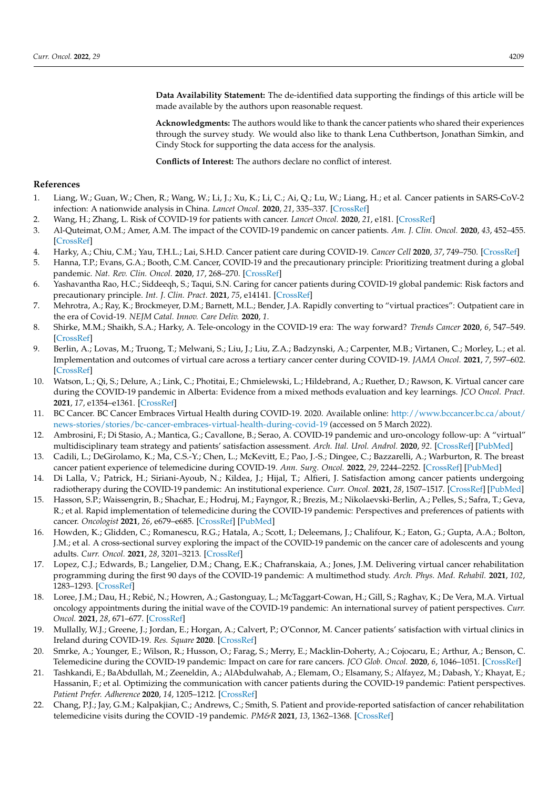**Data Availability Statement:** The de-identified data supporting the findings of this article will be made available by the authors upon reasonable request.

**Acknowledgments:** The authors would like to thank the cancer patients who shared their experiences through the survey study. We would also like to thank Lena Cuthbertson, Jonathan Simkin, and Cindy Stock for supporting the data access for the analysis.

**Conflicts of Interest:** The authors declare no conflict of interest.

## **References**

- <span id="page-10-0"></span>1. Liang, W.; Guan, W.; Chen, R.; Wang, W.; Li, J.; Xu, K.; Li, C.; Ai, Q.; Lu, W.; Liang, H.; et al. Cancer patients in SARS-CoV-2 infection: A nationwide analysis in China. *Lancet Oncol.* **2020**, *21*, 335–337. [\[CrossRef\]](http://doi.org/10.1016/S1470-2045(20)30096-6)
- 2. Wang, H.; Zhang, L. Risk of COVID-19 for patients with cancer. *Lancet Oncol.* **2020**, *21*, e181. [\[CrossRef\]](http://doi.org/10.1016/S1470-2045(20)30149-2)
- <span id="page-10-1"></span>3. Al-Quteimat, O.M.; Amer, A.M. The impact of the COVID-19 pandemic on cancer patients. *Am. J. Clin. Oncol.* **2020**, *43*, 452–455. [\[CrossRef\]](http://doi.org/10.1097/COC.0000000000000712)
- <span id="page-10-2"></span>4. Harky, A.; Chiu, C.M.; Yau, T.H.L.; Lai, S.H.D. Cancer patient care during COVID-19. *Cancer Cell* **2020**, *37*, 749–750. [\[CrossRef\]](http://doi.org/10.1016/j.ccell.2020.05.006)
- <span id="page-10-3"></span>5. Hanna, T.P.; Evans, G.A.; Booth, C.M. Cancer, COVID-19 and the precautionary principle: Prioritizing treatment during a global pandemic. *Nat. Rev. Clin. Oncol.* **2020**, *17*, 268–270. [\[CrossRef\]](http://doi.org/10.1038/s41571-020-0362-6)
- <span id="page-10-4"></span>6. Yashavantha Rao, H.C.; Siddeeqh, S.; Taqui, S.N. Caring for cancer patients during COVID-19 global pandemic: Risk factors and precautionary principle. *Int. J. Clin. Pract.* **2021**, *75*, e14141. [\[CrossRef\]](http://doi.org/10.1111/ijcp.14141)
- <span id="page-10-5"></span>7. Mehrotra, A.; Ray, K.; Brockmeyer, D.M.; Barnett, M.L.; Bender, J.A. Rapidly converting to "virtual practices": Outpatient care in the era of Covid-19. *NEJM Catal. Innov. Care Deliv.* **2020**, *1*.
- <span id="page-10-6"></span>8. Shirke, M.M.; Shaikh, S.A.; Harky, A. Tele-oncology in the COVID-19 era: The way forward? *Trends Cancer* **2020**, *6*, 547–549. [\[CrossRef\]](http://doi.org/10.1016/j.trecan.2020.05.013)
- <span id="page-10-7"></span>9. Berlin, A.; Lovas, M.; Truong, T.; Melwani, S.; Liu, J.; Liu, Z.A.; Badzynski, A.; Carpenter, M.B.; Virtanen, C.; Morley, L.; et al. Implementation and outcomes of virtual care across a tertiary cancer center during COVID-19. *JAMA Oncol.* **2021**, *7*, 597–602. [\[CrossRef\]](http://doi.org/10.1001/jamaoncol.2020.6982)
- <span id="page-10-9"></span>10. Watson, L.; Qi, S.; Delure, A.; Link, C.; Photitai, E.; Chmielewski, L.; Hildebrand, A.; Ruether, D.; Rawson, K. Virtual cancer care during the COVID-19 pandemic in Alberta: Evidence from a mixed methods evaluation and key learnings. *JCO Oncol. Pract.* **2021**, *17*, e1354–e1361. [\[CrossRef\]](http://doi.org/10.1200/OP.21.00144)
- <span id="page-10-8"></span>11. BC Cancer. BC Cancer Embraces Virtual Health during COVID-19. 2020. Available online: [http://www.bccancer.bc.ca/about/](http://www.bccancer.bc.ca/about/news-stories/stories/bc-cancer-embraces-virtual-health-during-covid-19) [news-stories/stories/bc-cancer-embraces-virtual-health-during-covid-19](http://www.bccancer.bc.ca/about/news-stories/stories/bc-cancer-embraces-virtual-health-during-covid-19) (accessed on 5 March 2022).
- <span id="page-10-10"></span>12. Ambrosini, F.; Di Stasio, A.; Mantica, G.; Cavallone, B.; Serao, A. COVID-19 pandemic and uro-oncology follow-up: A "virtual" multidisciplinary team strategy and patients' satisfaction assessment. *Arch. Ital. Urol. Androl.* **2020**, *92*. [\[CrossRef\]](http://doi.org/10.4081/aiua.2020.2.78) [\[PubMed\]](http://www.ncbi.nlm.nih.gov/pubmed/32597103)
- <span id="page-10-18"></span>13. Cadili, L.; DeGirolamo, K.; Ma, C.S.-Y.; Chen, L.; McKevitt, E.; Pao, J.-S.; Dingee, C.; Bazzarelli, A.; Warburton, R. The breast cancer patient experience of telemedicine during COVID-19. *Ann. Surg. Oncol.* **2022**, *29*, 2244–2252. [\[CrossRef\]](http://doi.org/10.1245/s10434-021-11103-w) [\[PubMed\]](http://www.ncbi.nlm.nih.gov/pubmed/34820744)
- 14. Di Lalla, V.; Patrick, H.; Siriani-Ayoub, N.; Kildea, J.; Hijal, T.; Alfieri, J. Satisfaction among cancer patients undergoing radiotherapy during the COVID-19 pandemic: An institutional experience. *Curr. Oncol.* **2021**, *28*, 1507–1517. [\[CrossRef\]](http://doi.org/10.3390/curroncol28020142) [\[PubMed\]](http://www.ncbi.nlm.nih.gov/pubmed/33920247)
- <span id="page-10-12"></span>15. Hasson, S.P.; Waissengrin, B.; Shachar, E.; Hodruj, M.; Fayngor, R.; Brezis, M.; Nikolaevski-Berlin, A.; Pelles, S.; Safra, T.; Geva, R.; et al. Rapid implementation of telemedicine during the COVID-19 pandemic: Perspectives and preferences of patients with cancer. *Oncologist* **2021**, *26*, e679–e685. [\[CrossRef\]](http://doi.org/10.1002/onco.13676) [\[PubMed\]](http://www.ncbi.nlm.nih.gov/pubmed/33453121)
- <span id="page-10-14"></span>16. Howden, K.; Glidden, C.; Romanescu, R.G.; Hatala, A.; Scott, I.; Deleemans, J.; Chalifour, K.; Eaton, G.; Gupta, A.A.; Bolton, J.M.; et al. A cross-sectional survey exploring the impact of the COVID-19 pandemic on the cancer care of adolescents and young adults. *Curr. Oncol.* **2021**, *28*, 3201–3213. [\[CrossRef\]](http://doi.org/10.3390/curroncol28040278)
- <span id="page-10-15"></span>17. Lopez, C.J.; Edwards, B.; Langelier, D.M.; Chang, E.K.; Chafranskaia, A.; Jones, J.M. Delivering virtual cancer rehabilitation programming during the first 90 days of the COVID-19 pandemic: A multimethod study. *Arch. Phys. Med. Rehabil.* **2021**, *102*, 1283–1293. [\[CrossRef\]](http://doi.org/10.1016/j.apmr.2021.02.002)
- <span id="page-10-17"></span>18. Loree, J.M.; Dau, H.; Rebić, N.; Howren, A.; Gastonguay, L.; McTaggart-Cowan, H.; Gill, S.; Raghav, K.; De Vera, M.A. Virtual oncology appointments during the initial wave of the COVID-19 pandemic: An international survey of patient perspectives. *Curr. Oncol.* **2021**, *28*, 671–677. [\[CrossRef\]](http://doi.org/10.3390/curroncol28010065)
- 19. Mullally, W.J.; Greene, J.; Jordan, E.; Horgan, A.; Calvert, P.; O'Connor, M. Cancer patients' satisfaction with virtual clinics in Ireland during COVID-19. *Res. Square* **2020**. [\[CrossRef\]](http://doi.org/10.21203/rs.3.rs-92581/v1)
- <span id="page-10-16"></span>20. Smrke, A.; Younger, E.; Wilson, R.; Husson, O.; Farag, S.; Merry, E.; Macklin-Doherty, A.; Cojocaru, E.; Arthur, A.; Benson, C. Telemedicine during the COVID-19 pandemic: Impact on care for rare cancers. *JCO Glob. Oncol.* **2020**, *6*, 1046–1051. [\[CrossRef\]](http://doi.org/10.1200/GO.20.00220)
- <span id="page-10-11"></span>21. Tashkandi, E.; BaAbdullah, M.; Zeeneldin, A.; AlAbdulwahab, A.; Elemam, O.; Elsamany, S.; Alfayez, M.; Dabash, Y.; Khayat, E.; Hassanin, F.; et al. Optimizing the communication with cancer patients during the COVID-19 pandemic: Patient perspectives. *Patient Prefer. Adherence* **2020**, *14*, 1205–1212. [\[CrossRef\]](http://doi.org/10.2147/PPA.S263022)
- <span id="page-10-13"></span>22. Chang, P.J.; Jay, G.M.; Kalpakjian, C.; Andrews, C.; Smith, S. Patient and provide-reported satisfaction of cancer rehabilitation telemedicine visits during the COVID -19 pandemic. *PM&R* **2021**, *13*, 1362–1368. [\[CrossRef\]](http://doi.org/10.1002/pmrj.12552)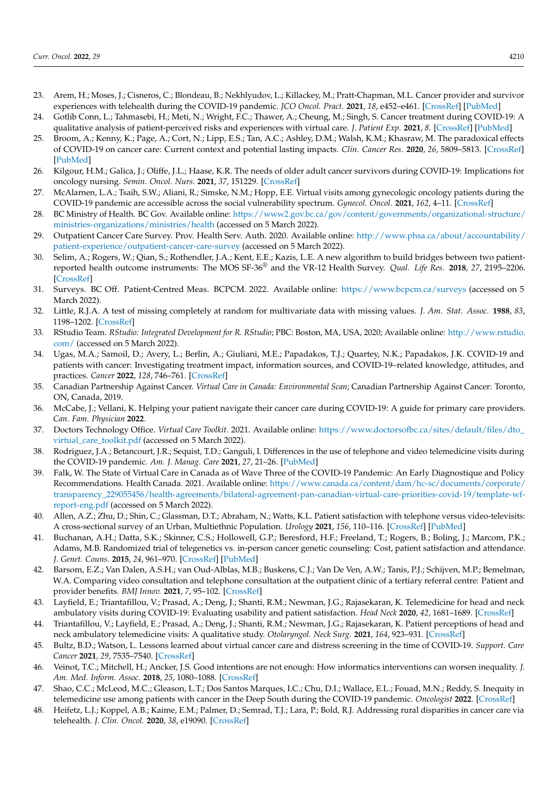- <span id="page-11-2"></span>23. Arem, H.; Moses, J.; Cisneros, C.; Blondeau, B.; Nekhlyudov, L.; Killackey, M.; Pratt-Chapman, M.L. Cancer provider and survivor experiences with telehealth during the COVID-19 pandemic. *JCO Oncol. Pract.* **2021**, *18*, e452–e461. [\[CrossRef\]](http://doi.org/10.1200/OP.21.00401) [\[PubMed\]](http://www.ncbi.nlm.nih.gov/pubmed/34714706)
- <span id="page-11-0"></span>24. Gotlib Conn, L.; Tahmasebi, H.; Meti, N.; Wright, F.C.; Thawer, A.; Cheung, M.; Singh, S. Cancer treatment during COVID-19: A qualitative analysis of patient-perceived risks and experiences with virtual care. *J. Patient Exp.* **2021**, *8*. [\[CrossRef\]](http://doi.org/10.1177/23743735211039328) [\[PubMed\]](http://www.ncbi.nlm.nih.gov/pubmed/34485693)
- <span id="page-11-1"></span>25. Broom, A.; Kenny, K.; Page, A.; Cort, N.; Lipp, E.S.; Tan, A.C.; Ashley, D.M.; Walsh, K.M.; Khasraw, M. The paradoxical effects of COVID-19 on cancer care: Current context and potential lasting impacts. *Clin. Cancer Res.* **2020**, *26*, 5809–5813. [\[CrossRef\]](http://doi.org/10.1158/1078-0432.CCR-20-2989) [\[PubMed\]](http://www.ncbi.nlm.nih.gov/pubmed/32816894)
- <span id="page-11-3"></span>26. Kilgour, H.M.; Galica, J.; Oliffe, J.L.; Haase, K.R. The needs of older adult cancer survivors during COVID-19: Implications for oncology nursing. *Semin. Oncol. Nurs.* **2021**, *37*, 151229. [\[CrossRef\]](http://doi.org/10.1016/j.soncn.2021.151229)
- <span id="page-11-4"></span>27. McAlarnen, L.A.; Tsaih, S.W.; Aliani, R.; Simske, N.M.; Hopp, E.E. Virtual visits among gynecologic oncology patients during the COVID-19 pandemic are accessible across the social vulnerability spectrum. *Gynecol. Oncol.* **2021**, *162*, 4–11. [\[CrossRef\]](http://doi.org/10.1016/j.ygyno.2021.04.037)
- <span id="page-11-5"></span>28. BC Ministry of Health. BC Gov. Available online: [https://www2.gov.bc.ca/gov/content/governments/organizational-structure/](https://www2.gov.bc.ca/gov/content/governments/organizational-structure/ministries-organizations/ministries/health) [ministries-organizations/ministries/health](https://www2.gov.bc.ca/gov/content/governments/organizational-structure/ministries-organizations/ministries/health) (accessed on 5 March 2022).
- <span id="page-11-6"></span>29. Outpatient Cancer Care Survey. Prov. Health Serv. Auth. 2020. Available online: [http://www.phsa.ca/about/accountability/](http://www.phsa.ca/about/accountability/patient-experience/outpatient-cancer-care-survey) [patient-experience/outpatient-cancer-care-survey](http://www.phsa.ca/about/accountability/patient-experience/outpatient-cancer-care-survey) (accessed on 5 March 2022).
- <span id="page-11-7"></span>30. Selim, A.; Rogers, W.; Qian, S.; Rothendler, J.A.; Kent, E.E.; Kazis, L.E. A new algorithm to build bridges between two patientreported health outcome instruments: The MOS SF-36® and the VR-12 Health Survey. *Qual. Life Res.* **2018**, *27*, 2195–2206. [\[CrossRef\]](http://doi.org/10.1007/s11136-018-1850-3)
- <span id="page-11-8"></span>31. Surveys. BC Off. Patient-Centred Meas. BCPCM. 2022. Available online: <https://www.bcpcm.ca/surveys> (accessed on 5 March 2022).
- <span id="page-11-9"></span>32. Little, R.J.A. A test of missing completely at random for multivariate data with missing values. *J. Am. Stat. Assoc.* **1988**, *83*, 1198–1202. [\[CrossRef\]](http://doi.org/10.1080/01621459.1988.10478722)
- <span id="page-11-10"></span>33. RStudio Team. *RStudio: Integrated Development for R. RStudio*; PBC: Boston, MA, USA, 2020; Available online: [http://www.rstudio.](http://www.rstudio.com/) [com/](http://www.rstudio.com/) (accessed on 5 March 2022).
- <span id="page-11-11"></span>34. Ugas, M.A.; Samoil, D.; Avery, L.; Berlin, A.; Giuliani, M.E.; Papadakos, T.J.; Quartey, N.K.; Papadakos, J.K. COVID-19 and patients with cancer: Investigating treatment impact, information sources, and COVID-19–related knowledge, attitudes, and practices. *Cancer* **2022**, *128*, 746–761. [\[CrossRef\]](http://doi.org/10.1002/cncr.33976)
- <span id="page-11-12"></span>35. Canadian Partnership Against Cancer. *Virtual Care in Canada: Environmental Scan*; Canadian Partnership Against Cancer: Toronto, ON, Canada, 2019.
- <span id="page-11-13"></span>36. McCabe, J.; Vellani, K. Helping your patient navigate their cancer care during COVID-19: A guide for primary care providers. *Can. Fam. Physician* **2022**.
- <span id="page-11-14"></span>37. Doctors Technology Office. *Virtual Care Toolkit*. 2021. Available online: [https://www.doctorsofbc.ca/sites/default/files/dto\\_](https://www.doctorsofbc.ca/sites/default/files/dto_virtual_care_toolkit.pdf) [virtual\\_care\\_toolkit.pdf](https://www.doctorsofbc.ca/sites/default/files/dto_virtual_care_toolkit.pdf) (accessed on 5 March 2022).
- <span id="page-11-15"></span>38. Rodriguez, J.A.; Betancourt, J.R.; Sequist, T.D.; Ganguli, I. Differences in the use of telephone and video telemedicine visits during the COVID-19 pandemic. *Am. J. Manag. Care* **2021**, *27*, 21–26. [\[PubMed\]](http://www.ncbi.nlm.nih.gov/pubmed/33471458)
- <span id="page-11-16"></span>39. Falk, W. The State of Virtual Care in Canada as of Wave Three of the COVID-19 Pandemic: An Early Diagnostique and Policy Recommendations. Health Canada. 2021. Available online: [https://www.canada.ca/content/dam/hc-sc/documents/corporate/](https://www.canada.ca/content/dam/hc-sc/documents/corporate/transparency_229055456/health-agreements/bilateral-agreement-pan-canadian-virtual-care-priorities-covid-19/template-wf-report-eng.pdf) [transparency\\_229055456/health-agreements/bilateral-agreement-pan-canadian-virtual-care-priorities-covid-19/template-wf](https://www.canada.ca/content/dam/hc-sc/documents/corporate/transparency_229055456/health-agreements/bilateral-agreement-pan-canadian-virtual-care-priorities-covid-19/template-wf-report-eng.pdf)[report-eng.pdf](https://www.canada.ca/content/dam/hc-sc/documents/corporate/transparency_229055456/health-agreements/bilateral-agreement-pan-canadian-virtual-care-priorities-covid-19/template-wf-report-eng.pdf) (accessed on 5 March 2022).
- <span id="page-11-17"></span>40. Allen, A.Z.; Zhu, D.; Shin, C.; Glassman, D.T.; Abraham, N.; Watts, K.L. Patient satisfaction with telephone versus video-televisits: A cross-sectional survey of an Urban, Multiethnic Population. *Urology* **2021**, *156*, 110–116. [\[CrossRef\]](http://doi.org/10.1016/j.urology.2021.05.096) [\[PubMed\]](http://www.ncbi.nlm.nih.gov/pubmed/34333039)
- <span id="page-11-18"></span>41. Buchanan, A.H.; Datta, S.K.; Skinner, C.S.; Hollowell, G.P.; Beresford, H.F.; Freeland, T.; Rogers, B.; Boling, J.; Marcom, P.K.; Adams, M.B. Randomized trial of telegenetics vs. in-person cancer genetic counseling: Cost, patient satisfaction and attendance. *J. Genet. Couns.* **2015**, *24*, 961–970. [\[CrossRef\]](http://doi.org/10.1007/s10897-015-9836-6) [\[PubMed\]](http://www.ncbi.nlm.nih.gov/pubmed/25833335)
- <span id="page-11-19"></span>42. Barsom, E.Z.; Van Dalen, A.S.H.; van Oud-Alblas, M.B.; Buskens, C.J.; Van De Ven, A.W.; Tanis, P.J.; Schijven, M.P.; Bemelman, W.A. Comparing video consultation and telephone consultation at the outpatient clinic of a tertiary referral centre: Patient and provider benefits. *BMJ Innov.* **2021**, *7*, 95–102. [\[CrossRef\]](http://doi.org/10.1136/bmjinnov-2020-000512)
- <span id="page-11-20"></span>43. Layfield, E.; Triantafillou, V.; Prasad, A.; Deng, J.; Shanti, R.M.; Newman, J.G.; Rajasekaran, K. Telemedicine for head and neck ambulatory visits during COVID-19: Evaluating usability and patient satisfaction. *Head Neck* **2020**, *42*, 1681–1689. [\[CrossRef\]](http://doi.org/10.1002/hed.26285)
- <span id="page-11-21"></span>44. Triantafillou, V.; Layfield, E.; Prasad, A.; Deng, J.; Shanti, R.M.; Newman, J.G.; Rajasekaran, K. Patient perceptions of head and neck ambulatory telemedicine visits: A qualitative study. *Otolaryngol. Neck Surg.* **2021**, *164*, 923–931. [\[CrossRef\]](http://doi.org/10.1177/0194599820943523)
- <span id="page-11-22"></span>45. Bultz, B.D.; Watson, L. Lessons learned about virtual cancer care and distress screening in the time of COVID-19. *Support. Care Cancer* **2021**, *29*, 7535–7540. [\[CrossRef\]](http://doi.org/10.1007/s00520-021-06322-6)
- <span id="page-11-23"></span>46. Veinot, T.C.; Mitchell, H.; Ancker, J.S. Good intentions are not enough: How informatics interventions can worsen inequality. *J. Am. Med. Inform. Assoc.* **2018**, *25*, 1080–1088. [\[CrossRef\]](http://doi.org/10.1093/jamia/ocy052)
- <span id="page-11-24"></span>47. Shao, C.C.; McLeod, M.C.; Gleason, L.T.; Dos Santos Marques, I.C.; Chu, D.I.; Wallace, E.L.; Fouad, M.N.; Reddy, S. Inequity in telemedicine use among patients with cancer in the Deep South during the COVID-19 pandemic. *Oncologist* **2022**. [\[CrossRef\]](http://doi.org/10.1093/oncolo/oyac046)
- <span id="page-11-25"></span>48. Heifetz, L.J.; Koppel, A.B.; Kaime, E.M.; Palmer, D.; Semrad, T.J.; Lara, P.; Bold, R.J. Addressing rural disparities in cancer care via telehealth. *J. Clin. Oncol.* **2020**, *38*, e19090. [\[CrossRef\]](http://doi.org/10.1200/JCO.2020.38.15_suppl.e19090)